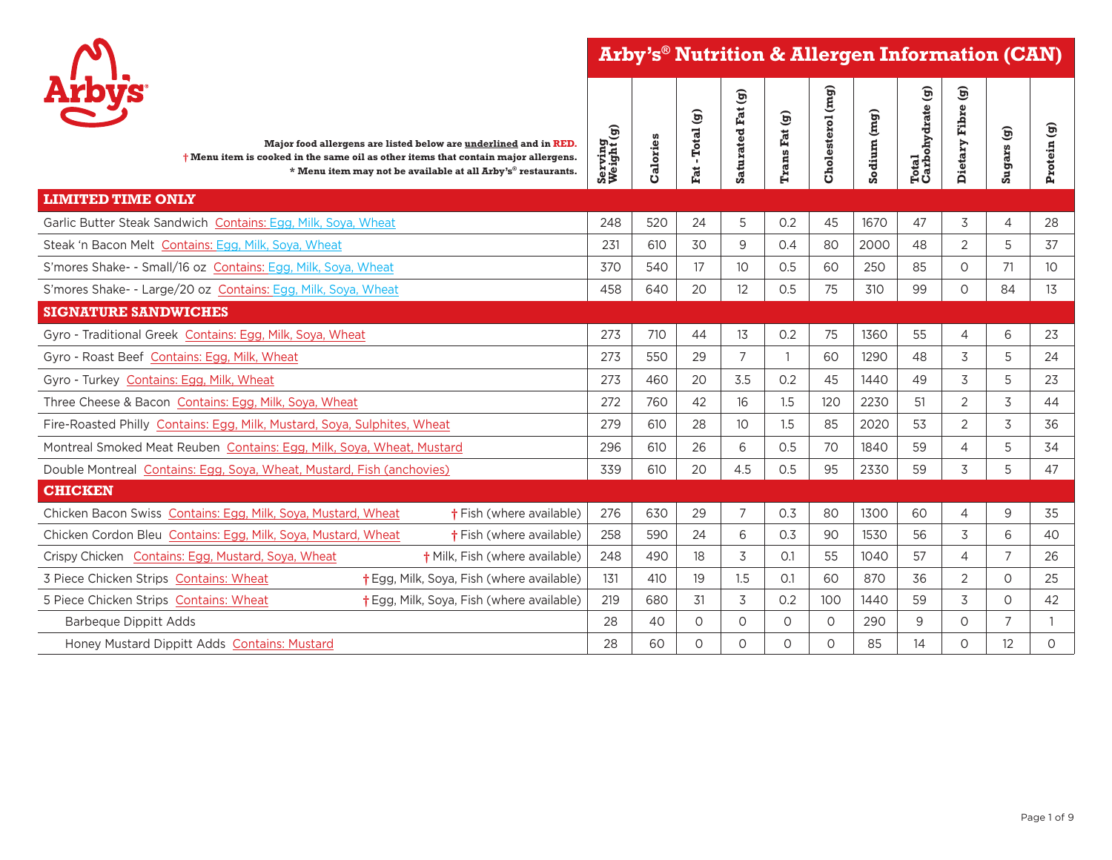**Arby's® Nutrition & Allergen Information (CAN)**



| <b>Arbys</b>                                                                                                                                                                                                                   |                       |          | -Total (g) | Saturated Fat (g) |               | Cholesterol (mg) |             | $\widehat{\mathbf{e}}$ | ම              | ම              |                 |
|--------------------------------------------------------------------------------------------------------------------------------------------------------------------------------------------------------------------------------|-----------------------|----------|------------|-------------------|---------------|------------------|-------------|------------------------|----------------|----------------|-----------------|
| Major food allergens are listed below are underlined and in RED.<br>$\dagger$ Menu item is cooked in the same oil as other items that contain major allergens.<br>* Menu item may not be available at all Arby's® restaurants. | Serving<br>Weight (g) | Calories | Fat        |                   | Trans Fat (g) |                  | Sodium (mg) | Total<br>Carbohydrate  | Dietary Fibre  | <b>Sugars</b>  | Protein (g)     |
| <b>LIMITED TIME ONLY</b>                                                                                                                                                                                                       |                       |          |            |                   |               |                  |             |                        |                |                |                 |
| Garlic Butter Steak Sandwich Contains: Egg, Milk, Soya, Wheat                                                                                                                                                                  | 248                   | 520      | 24         | 5                 | 0.2           | 45               | 1670        | 47                     | 3              | 4              | 28              |
| Steak 'n Bacon Melt Contains: Egg, Milk, Soya, Wheat                                                                                                                                                                           | 231                   | 610      | 30         | 9                 | 0.4           | 80               | 2000        | 48                     | 2              | 5              | 37              |
| S'mores Shake- - Small/16 oz Contains: Egg, Milk, Soya, Wheat                                                                                                                                                                  | 370                   | 540      | 17         | 10 <sup>°</sup>   | 0.5           | 60               | 250         | 85                     | $\Omega$       | 71             | 10 <sup>°</sup> |
| S'mores Shake- - Large/20 oz Contains: Egg, Milk, Soya, Wheat                                                                                                                                                                  | 458                   | 640      | 20         | 12                | 0.5           | 75               | 310         | 99                     | $\circ$        | 84             | 13              |
| <b>SIGNATURE SANDWICHES</b>                                                                                                                                                                                                    |                       |          |            |                   |               |                  |             |                        |                |                |                 |
| Gyro - Traditional Greek Contains: Egg, Milk, Soya, Wheat                                                                                                                                                                      | 273                   | 710      | 44         | 13                | 0.2           | 75               | 1360        | 55                     | $\overline{4}$ | 6              | 23              |
| Gyro - Roast Beef Contains: Egg, Milk, Wheat                                                                                                                                                                                   | 273                   | 550      | 29         | $\overline{7}$    |               | 60               | 1290        | 48                     | 3              | 5              | 24              |
| Gyro - Turkey Contains: Egg, Milk, Wheat                                                                                                                                                                                       | 273                   | 460      | 20         | 3.5               | 0.2           | 45               | 1440        | 49                     | 3              | 5              | 23              |
| Three Cheese & Bacon Contains: Egg, Milk, Soya, Wheat                                                                                                                                                                          | 272                   | 760      | 42         | 16                | 1.5           | 120              | 2230        | 51                     | $\overline{2}$ | 3              | 44              |
| Fire-Roasted Philly Contains: Egg, Milk, Mustard, Soya, Sulphites, Wheat                                                                                                                                                       | 279                   | 610      | 28         | 10 <sup>°</sup>   | 1.5           | 85               | 2020        | 53                     | $\overline{2}$ | 3              | 36              |
| Montreal Smoked Meat Reuben Contains: Egg, Milk, Soya, Wheat, Mustard                                                                                                                                                          | 296                   | 610      | 26         | 6                 | 0.5           | 70               | 1840        | 59                     | $\overline{4}$ | 5              | 34              |
| Double Montreal Contains: Egg, Soya, Wheat, Mustard, Fish (anchovies)                                                                                                                                                          | 339                   | 610      | 20         | 4.5               | 0.5           | 95               | 2330        | 59                     | 3              | 5              | 47              |
| <b>CHICKEN</b>                                                                                                                                                                                                                 |                       |          |            |                   |               |                  |             |                        |                |                |                 |
| Chicken Bacon Swiss Contains: Egg, Milk, Soya, Mustard, Wheat<br><b>†</b> Fish (where available)                                                                                                                               | 276                   | 630      | 29         | $\overline{7}$    | 0.3           | 80               | 1300        | 60                     | $\overline{4}$ | 9              | 35              |
| <b>†</b> Fish (where available)<br>Chicken Cordon Bleu Contains: Egg, Milk, Soya, Mustard, Wheat                                                                                                                               | 258                   | 590      | 24         | 6                 | 0.3           | 90               | 1530        | 56                     | 3              | 6              | 40              |
| Crispy Chicken Contains: Egg, Mustard, Soya, Wheat<br>† Milk, Fish (where available)                                                                                                                                           | 248                   | 490      | 18         | 3                 | O.1           | 55               | 1040        | 57                     | $\overline{4}$ | $\overline{7}$ | 26              |
| 3 Piece Chicken Strips Contains: Wheat<br>† Egg, Milk, Soya, Fish (where available)                                                                                                                                            | 131                   | 410      | 19         | 1.5               | O.1           | 60               | 870         | 36                     | $\overline{2}$ | $\circ$        | 25              |
| 5 Piece Chicken Strips Contains: Wheat<br>† Egg, Milk, Soya, Fish (where available)                                                                                                                                            | 219                   | 680      | 31         | 3                 | 0.2           | 100              | 1440        | 59                     | 3              | $\circ$        | 42              |
| <b>Barbeque Dippitt Adds</b>                                                                                                                                                                                                   | 28                    | 40       | $\circ$    | $\circ$           | $\Omega$      | $\circ$          | 290         | 9                      | $\Omega$       | $\overline{7}$ |                 |
| Honey Mustard Dippitt Adds Contains: Mustard                                                                                                                                                                                   | 28                    | 60       | $\circ$    | $\circ$           | $\circ$       | $\Omega$         | 85          | 14                     | $\circ$        | 12             | $\Omega$        |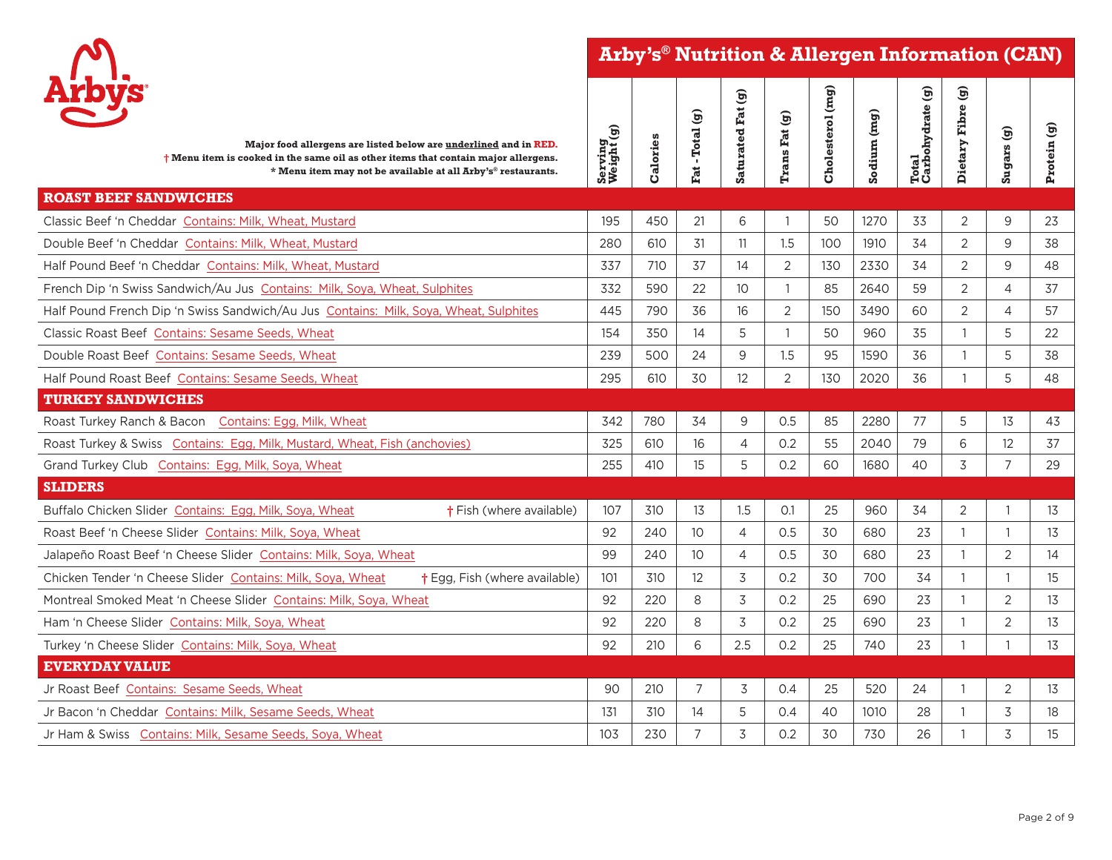**Arby's® Nutrition & Allergen Information (CAN)**



| <b>Arbys</b><br>Major food allergens are listed below are underlined and in RED.<br>$\dagger$ Menu item is cooked in the same oil as other items that contain major allergens.<br>* Menu item may not be available at all Arby's® restaurants. | Serving<br>Weight (g) | Calories | Fat - Total (g) | Saturated Fat (g) | Trans Fat (g) | Cholesterol (mg) | Sodium (mg) | Total<br>Carbohydrate (g) | ම<br>Fibre<br>Dietary | Sugars (g)     | Protein (g) |
|------------------------------------------------------------------------------------------------------------------------------------------------------------------------------------------------------------------------------------------------|-----------------------|----------|-----------------|-------------------|---------------|------------------|-------------|---------------------------|-----------------------|----------------|-------------|
| <b>ROAST BEEF SANDWICHES</b>                                                                                                                                                                                                                   |                       |          |                 |                   |               |                  |             |                           |                       |                |             |
| Classic Beef 'n Cheddar Contains: Milk, Wheat, Mustard                                                                                                                                                                                         | 195                   | 450      | 21              | 6                 |               | 50               | 1270        | 33                        | 2                     | 9              | 23          |
| Double Beef 'n Cheddar Contains: Milk, Wheat, Mustard                                                                                                                                                                                          | 280                   | 610      | 31              | 11                | 1.5           | 100              | 1910        | 34                        | $\overline{2}$        | 9              | 38          |
| Half Pound Beef 'n Cheddar Contains: Milk. Wheat. Mustard                                                                                                                                                                                      | 337                   | 710      | 37              | 14                | 2             | 130              | 2330        | 34                        | 2                     | 9              | 48          |
| French Dip 'n Swiss Sandwich/Au Jus Contains: Milk, Soya, Wheat, Sulphites                                                                                                                                                                     | 332                   | 590      | 22              | 10                |               | 85               | 2640        | 59                        | $\overline{2}$        | $\overline{4}$ | 37          |
| Half Pound French Dip 'n Swiss Sandwich/Au Jus Contains: Milk, Soya, Wheat, Sulphites                                                                                                                                                          | 445                   | 790      | 36              | 16                | 2             | 150              | 3490        | 60                        | 2                     | $\overline{4}$ | 57          |
| Classic Roast Beef Contains: Sesame Seeds, Wheat                                                                                                                                                                                               | 154                   | 350      | 14              | 5                 |               | 50               | 960         | 35                        | -1                    | 5              | 22          |
| Double Roast Beef Contains: Sesame Seeds, Wheat                                                                                                                                                                                                | 239                   | 500      | 24              | 9                 | 1.5           | 95               | 1590        | 36                        |                       | 5              | 38          |
| Half Pound Roast Beef Contains: Sesame Seeds, Wheat                                                                                                                                                                                            | 295                   | 610      | 30              | 12                | 2             | 130              | 2020        | 36                        |                       | 5              | 48          |
| <b>TURKEY SANDWICHES</b>                                                                                                                                                                                                                       |                       |          |                 |                   |               |                  |             |                           |                       |                |             |
| Roast Turkey Ranch & Bacon Contains: Egg, Milk, Wheat                                                                                                                                                                                          | 342                   | 780      | 34              | 9                 | 0.5           | 85               | 2280        | 77                        | 5                     | 13             | 43          |
| Roast Turkey & Swiss Contains: Egg, Milk, Mustard, Wheat, Fish (anchovies)                                                                                                                                                                     | 325                   | 610      | 16              | 4                 | 0.2           | 55               | 2040        | 79                        | 6                     | 12             | 37          |
| Grand Turkey Club Contains: Egg, Milk, Soya, Wheat                                                                                                                                                                                             | 255                   | 410      | 15              | 5                 | 0.2           | 60               | 1680        | 40                        | 3                     | $\overline{7}$ | 29          |
| <b>SLIDERS</b>                                                                                                                                                                                                                                 |                       |          |                 |                   |               |                  |             |                           |                       |                |             |
| Buffalo Chicken Slider Contains: Egg, Milk, Soya, Wheat<br><b>†</b> Fish (where available)                                                                                                                                                     | 107                   | 310      | 13              | 1.5               | O.1           | 25               | 960         | 34                        | $\overline{2}$        | $\overline{1}$ | 13          |
| Roast Beef 'n Cheese Slider Contains: Milk, Soya, Wheat                                                                                                                                                                                        | 92                    | 240      | 10 <sup>°</sup> | $\overline{4}$    | 0.5           | 30               | 680         | 23                        | 1                     | $\overline{1}$ | 13          |
| Jalapeño Roast Beef 'n Cheese Slider Contains: Milk, Soya, Wheat                                                                                                                                                                               | 99                    | 240      | 10 <sup>°</sup> | $\overline{4}$    | 0.5           | 30               | 680         | 23                        | $\mathbf{1}$          | $\overline{2}$ | 14          |
| Chicken Tender 'n Cheese Slider Contains: Milk, Soya, Wheat<br><b>†</b> Egg, Fish (where available)                                                                                                                                            | 101                   | 310      | 12              | 3                 | 0.2           | 30               | 700         | 34                        | $\mathbf{1}$          | $\mathbf{1}$   | 15          |
| Montreal Smoked Meat 'n Cheese Slider Contains: Milk, Soya, Wheat                                                                                                                                                                              | 92                    | 220      | 8               | 3                 | 0.2           | 25               | 690         | 23                        | $\mathbf{1}$          | 2              | 13          |
| Ham 'n Cheese Slider Contains: Milk, Soya, Wheat                                                                                                                                                                                               | 92                    | 220      | 8               | 3                 | 0.2           | 25               | 690         | 23                        | 1                     | 2              | 13          |
| Turkey 'n Cheese Slider Contains: Milk, Soya, Wheat                                                                                                                                                                                            | 92                    | 210      | 6               | 2.5               | 0.2           | 25               | 740         | 23                        | 1                     |                | 13          |
| <b>EVERYDAY VALUE</b>                                                                                                                                                                                                                          |                       |          |                 |                   |               |                  |             |                           |                       |                |             |
| Jr Roast Beef Contains: Sesame Seeds, Wheat                                                                                                                                                                                                    | 90                    | 210      | $\overline{7}$  | 3                 | 0.4           | 25               | 520         | 24                        | 1                     | $\overline{2}$ | 13          |
| Jr Bacon 'n Cheddar Contains: Milk, Sesame Seeds, Wheat                                                                                                                                                                                        | 131                   | 310      | 14              | 5                 | 0.4           | 40               | 1010        | 28                        | 1                     | 3              | 18          |
| Jr Ham & Swiss Contains: Milk, Sesame Seeds, Soya, Wheat                                                                                                                                                                                       | 103                   | 230      | $\overline{7}$  | 3                 | 0.2           | 30               | 730         | 26                        | -1                    | 3              | 15          |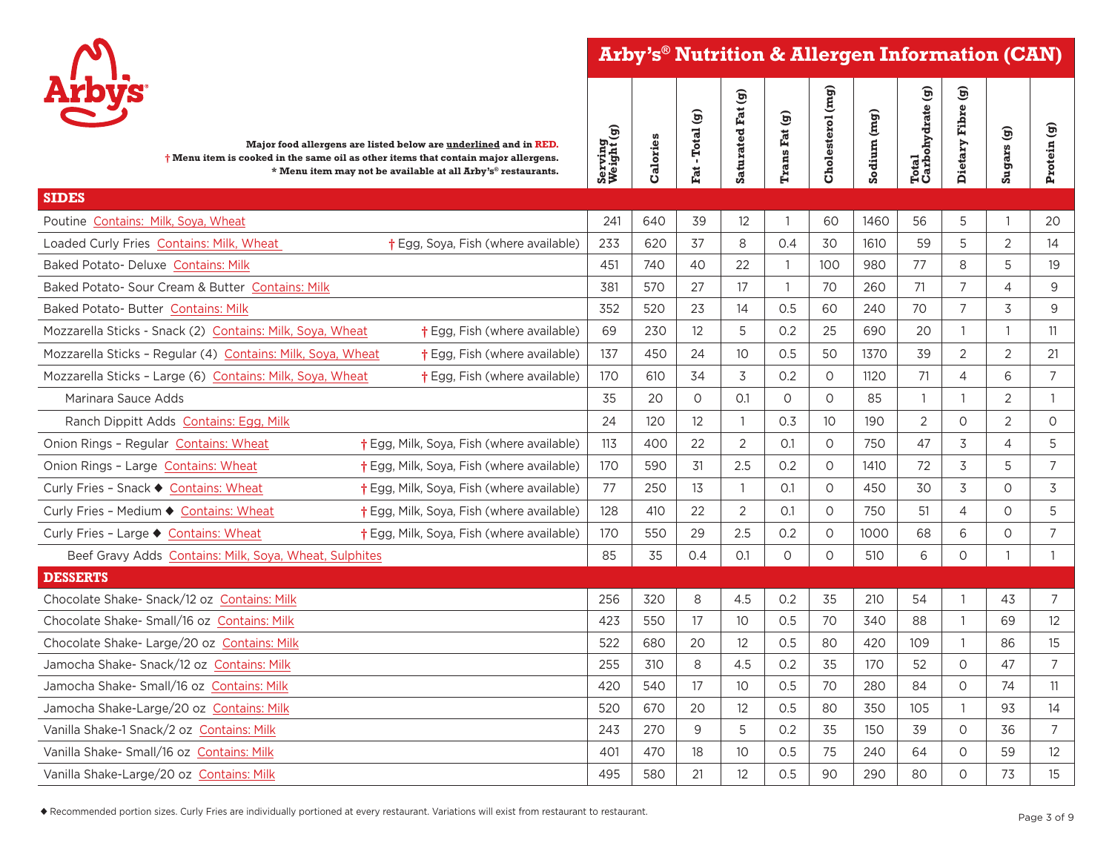

## **Arby's® Nutrition & Allergen Information (CAN)**

| <b>Arbys</b>                                                                                                                                                                                                                   |                       |          | ම         |                   | $\mathfrak{S}$   |                  |             |                           |                   |                 |                |
|--------------------------------------------------------------------------------------------------------------------------------------------------------------------------------------------------------------------------------|-----------------------|----------|-----------|-------------------|------------------|------------------|-------------|---------------------------|-------------------|-----------------|----------------|
| Major food allergens are listed below are underlined and in RED.<br>$\dagger$ Menu item is cooked in the same oil as other items that contain major allergens.<br>* Menu item may not be available at all Arby's® restaurants. | Serving<br>Weight (g) | Calories | Fat-Total | Saturated Fat (g) | <b>Trans Fat</b> | Cholesterol (mg) | Sodium (mg) | Total<br>Carbohydrate (g) | Dietary Fibre (g) | $S$ ugars $(g)$ | Protein (g)    |
| <b>SIDES</b>                                                                                                                                                                                                                   |                       |          |           |                   |                  |                  |             |                           |                   |                 |                |
| Poutine Contains: Milk, Soya, Wheat                                                                                                                                                                                            | 241                   | 640      | 39        | 12                | $\mathbf{1}$     | 60               | 1460        | 56                        | 5                 |                 | 20             |
| Loaded Curly Fries Contains: Milk, Wheat<br>† Egg, Soya, Fish (where available)                                                                                                                                                | 233                   | 620      | 37        | 8                 | 0.4              | 30               | 1610        | 59                        | 5                 | 2               | 14             |
| Baked Potato- Deluxe Contains: Milk                                                                                                                                                                                            | 451                   | 740      | 40        | 22                | $\mathbf{1}$     | 100              | 980         | 77                        | 8                 | 5               | 19             |
| Baked Potato- Sour Cream & Butter Contains: Milk                                                                                                                                                                               | 381                   | 570      | 27        | 17                | $\mathbf{1}$     | 70               | 260         | 71                        | $\overline{7}$    | $\overline{4}$  | 9              |
| Baked Potato- Butter Contains: Milk                                                                                                                                                                                            | 352                   | 520      | 23        | 14                | 0.5              | 60               | 240         | 70                        | 7                 | 3               | 9              |
| Mozzarella Sticks - Snack (2) Contains: Milk, Soya, Wheat<br>† Egg, Fish (where available)                                                                                                                                     | 69                    | 230      | 12        | 5                 | 0.2              | 25               | 690         | 20                        | $\overline{1}$    |                 | 11             |
| Mozzarella Sticks - Regular (4) Contains: Milk, Soya, Wheat<br>$\dagger$ Egg, Fish (where available)                                                                                                                           | 137                   | 450      | 24        | 10 <sup>°</sup>   | 0.5              | 50               | 1370        | 39                        | $\overline{2}$    | $\overline{2}$  | 21             |
| Mozzarella Sticks - Large (6) Contains: Milk, Soya, Wheat<br><b>†</b> Egg, Fish (where available)                                                                                                                              | 170                   | 610      | 34        | 3                 | 0.2              | $\circ$          | 1120        | 71                        | $\overline{4}$    | 6               | $\overline{7}$ |
| Marinara Sauce Adds                                                                                                                                                                                                            | 35                    | 20       | $\circ$   | O.1               | $\circ$          | $\circ$          | 85          | $\overline{1}$            | $\overline{1}$    | $\overline{2}$  | $\overline{1}$ |
| Ranch Dippitt Adds Contains: Egg, Milk                                                                                                                                                                                         | 24                    | 120      | 12        | $\overline{1}$    | 0.3              | 10 <sup>°</sup>  | 190         | 2                         | $\circ$           | $\overline{2}$  | $\Omega$       |
| Onion Rings - Regular Contains: Wheat<br>† Egg, Milk, Soya, Fish (where available)                                                                                                                                             | 113                   | 400      | 22        | $\overline{2}$    | O.1              | $\circ$          | 750         | 47                        | 3                 | 4               | 5              |
| Onion Rings - Large Contains: Wheat<br>† Egg, Milk, Soya, Fish (where available)                                                                                                                                               | 170                   | 590      | 31        | 2.5               | 0.2              | $\Omega$         | 1410        | 72                        | 3                 | 5               | $\overline{7}$ |
| † Egg, Milk, Soya, Fish (where available)<br>Curly Fries - Snack ♦ Contains: Wheat                                                                                                                                             | 77                    | 250      | 13        | $\overline{1}$    | O.1              | $\circ$          | 450         | 30                        | 3                 | $\Omega$        | 3              |
| † Egg, Milk, Soya, Fish (where available)<br>Curly Fries - Medium ♦ Contains: Wheat                                                                                                                                            | 128                   | 410      | 22        | 2                 | O.1              | $\circ$          | 750         | 51                        | 4                 | $\circ$         | 5              |
| Curly Fries - Large ♦ Contains: Wheat<br>† Egg, Milk, Soya, Fish (where available)                                                                                                                                             | 170                   | 550      | 29        | 2.5               | 0.2              | $\Omega$         | 1000        | 68                        | 6                 | $\circ$         | $\overline{7}$ |
| Beef Gravy Adds Contains: Milk, Soya, Wheat, Sulphites                                                                                                                                                                         | 85                    | 35       | 0.4       | O.1               | $\circ$          | $\Omega$         | 510         | 6                         | $\Omega$          |                 | $\overline{1}$ |
| <b>DESSERTS</b>                                                                                                                                                                                                                |                       |          |           |                   |                  |                  |             |                           |                   |                 |                |
| Chocolate Shake- Snack/12 oz Contains: Milk                                                                                                                                                                                    | 256                   | 320      | 8         | 4.5               | 0.2              | 35               | 210         | 54                        | $\overline{1}$    | 43              | $\overline{7}$ |
| Chocolate Shake- Small/16 oz Contains: Milk                                                                                                                                                                                    | 423                   | 550      | 17        | 10 <sup>°</sup>   | 0.5              | 70               | 340         | 88                        | $\overline{1}$    | 69              | 12             |
| Chocolate Shake- Large/20 oz Contains: Milk                                                                                                                                                                                    | 522                   | 680      | 20        | 12                | 0.5              | 80               | 420         | 109                       | $\overline{1}$    | 86              | 15             |
| Jamocha Shake- Snack/12 oz Contains: Milk                                                                                                                                                                                      | 255                   | 310      | 8         | 4.5               | 0.2              | 35               | 170         | 52                        | $\Omega$          | 47              | $\overline{7}$ |
| Jamocha Shake- Small/16 oz Contains: Milk                                                                                                                                                                                      | 420                   | 540      | 17        | 10 <sup>°</sup>   | 0.5              | 70               | 280         | 84                        | $\circ$           | 74              | 11             |
| Jamocha Shake-Large/20 oz Contains: Milk                                                                                                                                                                                       | 520                   | 670      | 20        | 12                | 0.5              | 80               | 350         | 105                       | $\overline{1}$    | 93              | 14             |
| Vanilla Shake-1 Snack/2 oz Contains: Milk                                                                                                                                                                                      | 243                   | 270      | 9         | 5                 | 0.2              | 35               | 150         | 39                        | $\circ$           | 36              | $\overline{7}$ |
| Vanilla Shake-Small/16 oz Contains: Milk                                                                                                                                                                                       | 401                   | 470      | 18        | 10                | 0.5              | 75               | 240         | 64                        | $\circ$           | 59              | 12             |
| Vanilla Shake-Large/20 oz Contains: Milk                                                                                                                                                                                       | 495                   | 580      | 21        | 12                | 0.5              | 90               | 290         | 80                        | $\Omega$          | 73              | 15             |

u Recommended portion sizes. Curly Fries are individually portioned at every restaurant. Variations will exist from restaurant to restaurant.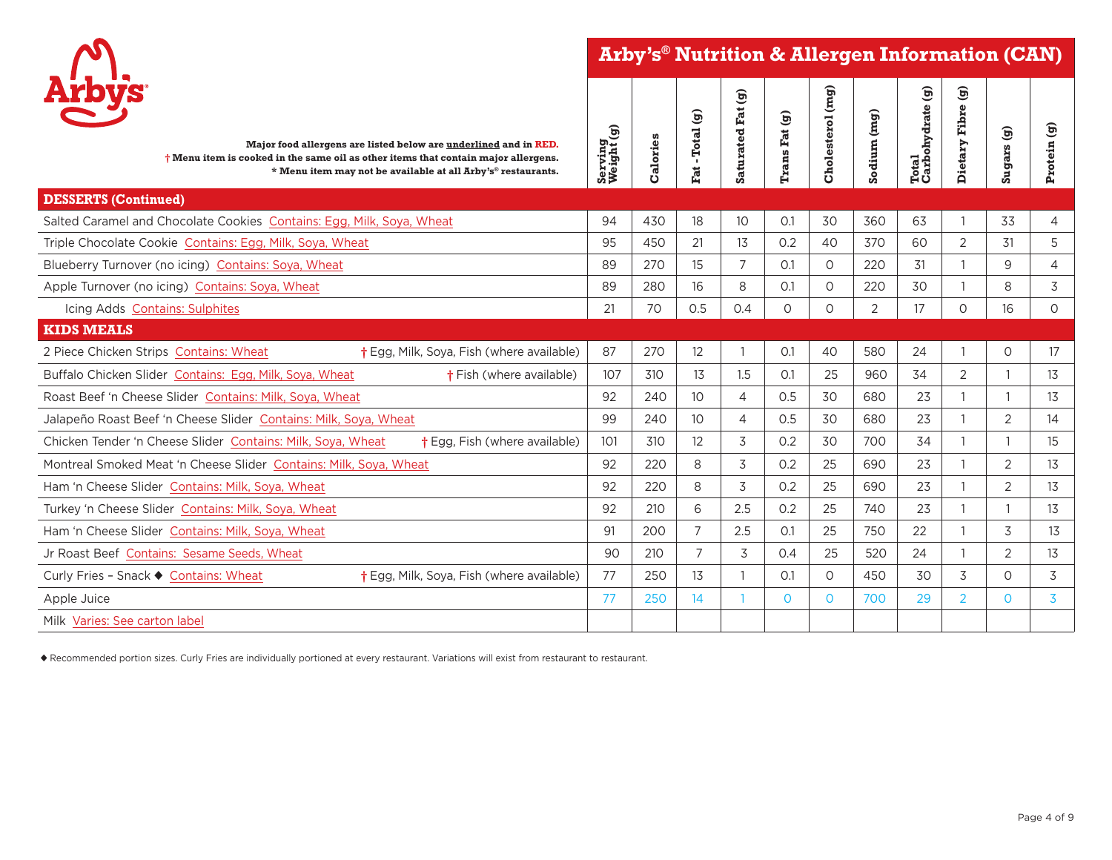



| Major food allergens are listed below are underlined and in RED.<br>$\dagger$ Menu item is cooked in the same oil as other items that contain major allergens.<br>* Menu item may not be available at all Arby's® restaurants. | Serving<br>Weight (g) | Calories | -Total (g)<br>Fat | Saturated Fat (g) | Trans Fat (g) | Cholesterol (mg) | Sodium (mg)    | Total<br>Carbohydrate (g) | $\mathbf{\widehat{g}}$<br>Fibre<br>Dietary | Sugars (g)     | Protein (g)    |
|--------------------------------------------------------------------------------------------------------------------------------------------------------------------------------------------------------------------------------|-----------------------|----------|-------------------|-------------------|---------------|------------------|----------------|---------------------------|--------------------------------------------|----------------|----------------|
| <b>DESSERTS (Continued)</b>                                                                                                                                                                                                    |                       |          |                   |                   |               |                  |                |                           |                                            |                |                |
| Salted Caramel and Chocolate Cookies Contains: Egg, Milk, Soya, Wheat                                                                                                                                                          | 94                    | 430      | 18                | 10 <sup>°</sup>   | 0.1           | 30               | 360            | 63                        |                                            | 33             | 4              |
| Triple Chocolate Cookie Contains: Egg, Milk, Soya, Wheat                                                                                                                                                                       | 95                    | 450      | 21                | 13                | 0.2           | 40               | 370            | 60                        | 2                                          | 31             | 5              |
| Blueberry Turnover (no icing) Contains: Soya, Wheat                                                                                                                                                                            | 89                    | 270      | 15                | $\overline{7}$    | O.1           | 0                | 220            | 31                        |                                            | 9              | $\overline{4}$ |
| Apple Turnover (no icing) Contains: Soya, Wheat                                                                                                                                                                                | 89                    | 280      | 16                | 8                 | O.1           | $\Omega$         | 220            | 30                        |                                            | 8              | 3              |
| Icing Adds Contains: Sulphites                                                                                                                                                                                                 | 21                    | 70       | 0.5               | 0.4               | 0             | 0                | $\overline{2}$ | 17                        | $\circ$                                    | 16             | 0              |
| <b>KIDS MEALS</b>                                                                                                                                                                                                              |                       |          |                   |                   |               |                  |                |                           |                                            |                |                |
| 2 Piece Chicken Strips Contains: Wheat<br>† Egg, Milk, Soya, Fish (where available)                                                                                                                                            | 87                    | 270      | 12                |                   | O.1           | 40               | 580            | 24                        |                                            | 0              | 17             |
| Buffalo Chicken Slider Contains: Egg, Milk, Soya, Wheat<br><b>†Fish (where available)</b>                                                                                                                                      | 107                   | 310      | 13                | 1.5               | O.1           | 25               | 960            | 34                        | $\overline{2}$                             | 1              | 13             |
| Roast Beef 'n Cheese Slider Contains: Milk, Sova, Wheat                                                                                                                                                                        | 92                    | 240      | 10                | 4                 | 0.5           | 30               | 680            | 23                        |                                            | $\mathbf{1}$   | 13             |
| Jalapeño Roast Beef 'n Cheese Slider Contains: Milk, Soya, Wheat                                                                                                                                                               | 99                    | 240      | 10                | $\overline{4}$    | 0.5           | 30               | 680            | 23                        |                                            | $\overline{2}$ | 14             |
| Chicken Tender 'n Cheese Slider Contains: Milk, Sova, Wheat<br><b>†</b> Egg, Fish (where available)                                                                                                                            | 101                   | 310      | 12                | 3                 | 0.2           | 30               | 700            | 34                        |                                            | $\mathbf{1}$   | 15             |
| Montreal Smoked Meat 'n Cheese Slider Contains: Milk, Sova, Wheat                                                                                                                                                              | 92                    | 220      | 8                 | 3                 | 0.2           | 25               | 690            | 23                        |                                            | $\overline{2}$ | 13             |
| Ham 'n Cheese Slider Contains: Milk, Soya, Wheat                                                                                                                                                                               | 92                    | 220      | 8                 | 3                 | 0.2           | 25               | 690            | 23                        |                                            | $\overline{2}$ | 13             |
| Turkey 'n Cheese Slider Contains: Milk, Soya, Wheat                                                                                                                                                                            | 92                    | 210      | 6                 | 2.5               | 0.2           | 25               | 740            | 23                        |                                            | 1              | 13             |
| Ham 'n Cheese Slider Contains: Milk, Soya, Wheat                                                                                                                                                                               | 91                    | 200      | 7                 | 2.5               | O.1           | 25               | 750            | 22                        |                                            | 3              | 13             |
| Jr Roast Beef Contains: Sesame Seeds, Wheat                                                                                                                                                                                    | 90                    | 210      | $\overline{7}$    | 3                 | 0.4           | 25               | 520            | 24                        |                                            | $\overline{2}$ | 13             |
| † Egg, Milk, Soya, Fish (where available)<br>Curly Fries - Snack ♦ Contains: Wheat                                                                                                                                             | 77                    | 250      | 13                |                   | O.1           | $\Omega$         | 450            | 30                        | 3                                          | 0              | 3              |
| Apple Juice                                                                                                                                                                                                                    | 77                    | 250      | 14                |                   | $\Omega$      | $\overline{O}$   | 700            | 29                        | $\overline{2}$                             | 0              | 3              |
| Milk Varies: See carton label                                                                                                                                                                                                  |                       |          |                   |                   |               |                  |                |                           |                                            |                |                |
|                                                                                                                                                                                                                                |                       |          |                   |                   |               |                  |                |                           |                                            |                |                |

u Recommended portion sizes. Curly Fries are individually portioned at every restaurant. Variations will exist from restaurant to restaurant.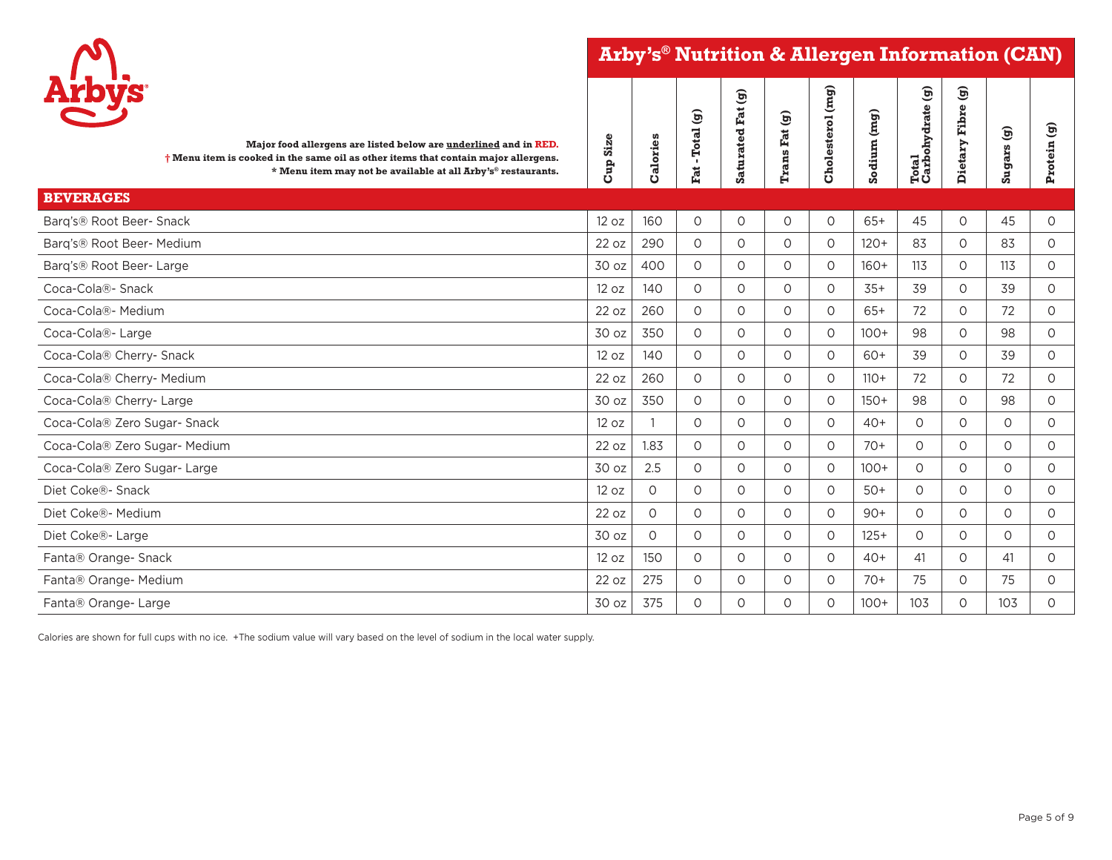**Arby's® Nutrition & Allergen Information (CAN)**

┯



| Arbys<br>Major food allergens are listed below are underlined and in RED.<br>$\dagger$ Menu item is cooked in the same oil as other items that contain major allergens.<br>* Menu item may not be available at all Arby's® restaurants. | Size<br>Cup | Calories | -Total (g)<br>$\vec{F}$ | ම<br>Fat<br>Saturated | Trans Fat (g) | Cholesterol (mg) | Sodium (mg) | $\widehat{\mathbf{g}}$<br>Total<br>Carbohydrate | ම<br><b>Fibre</b><br>Dietary | Sugars (g) | $\mathbf{\widehat{g}}$<br>Protein |
|-----------------------------------------------------------------------------------------------------------------------------------------------------------------------------------------------------------------------------------------|-------------|----------|-------------------------|-----------------------|---------------|------------------|-------------|-------------------------------------------------|------------------------------|------------|-----------------------------------|
| <b>BEVERAGES</b>                                                                                                                                                                                                                        |             |          |                         |                       |               |                  |             |                                                 |                              |            |                                   |
| Barg's® Root Beer- Snack                                                                                                                                                                                                                | 12 oz       | 160      | $\circ$                 | $\circ$               | $\circ$       | $\circ$          | $65+$       | 45                                              | $\circ$                      | 45         | $\circ$                           |
| Barg's® Root Beer- Medium                                                                                                                                                                                                               | 22 oz       | 290      | $\circ$                 | $\circ$               | $\circ$       | 0                | $120+$      | 83                                              | $\circ$                      | 83         | 0                                 |
| Barg's® Root Beer-Large                                                                                                                                                                                                                 | 30 oz       | 400      | $\Omega$                | $\circ$               | $\Omega$      | $\circ$          | $160+$      | 113                                             | $\Omega$                     | 113        | $\circ$                           |
| Coca-Cola®- Snack                                                                                                                                                                                                                       | 12 oz       | 140      | $\Omega$                | $\circ$               | $\Omega$      | $\Omega$         | $35+$       | 39                                              | $\Omega$                     | 39         | $\circ$                           |
| Coca-Cola®- Medium                                                                                                                                                                                                                      | 22 oz       | 260      | $\Omega$                | $\circ$               | $\Omega$      | $\Omega$         | $65+$       | 72                                              | $\circ$                      | 72         | 0                                 |
| Coca-Cola®- Large                                                                                                                                                                                                                       | 30 oz       | 350      | $\Omega$                | $\circ$               | $\Omega$      | $\Omega$         | $100+$      | 98                                              | $\Omega$                     | 98         | $\circ$                           |
| Coca-Cola® Cherry- Snack                                                                                                                                                                                                                | 12 oz       | 140      | $\Omega$                | $\circ$               | $\circ$       | $\Omega$         | 60+         | 39                                              | $\circ$                      | 39         | 0                                 |
| Coca-Cola® Cherry- Medium                                                                                                                                                                                                               | 22 oz       | 260      | $\Omega$                | $\circ$               | $\Omega$      | $\circ$          | $110+$      | 72                                              | $\circ$                      | 72         | $\circ$                           |
| Coca-Cola® Cherry- Large                                                                                                                                                                                                                | 30 oz       | 350      | $\Omega$                | $\circ$               | $\Omega$      | $\Omega$         | $150+$      | 98                                              | $\Omega$                     | 98         | $\circ$                           |
| Coca-Cola® Zero Sugar- Snack                                                                                                                                                                                                            | 12 oz       |          | $\circ$                 | $\circ$               | $\Omega$      | $\Omega$         | $40+$       | $\Omega$                                        | $\circ$                      | 0          | 0                                 |
| Coca-Cola® Zero Sugar- Medium                                                                                                                                                                                                           | 22 oz       | 1.83     | $\Omega$                | $\circ$               | $\circ$       | $\Omega$         | $70+$       | $\Omega$                                        | $\circ$                      | $\circ$    | $\circ$                           |
| Coca-Cola® Zero Sugar-Large                                                                                                                                                                                                             | 30 oz       | 2.5      | $\Omega$                | $\circ$               | $\Omega$      | $\circ$          | $100+$      | $\Omega$                                        | $\circ$                      | $\circ$    | $\circ$                           |
| Diet Coke®- Snack                                                                                                                                                                                                                       | 12 oz       | $\Omega$ | $\circ$                 | $\circ$               | $\Omega$      | $\circ$          | $50+$       | $\Omega$                                        | $\circ$                      | $\circ$    | $\circ$                           |
| Diet Coke®- Medium                                                                                                                                                                                                                      | 22 oz       | $\Omega$ | $\Omega$                | $\circ$               | $\Omega$      | $\circ$          | $90+$       | $\Omega$                                        | $\circ$                      | $\circ$    | $\circ$                           |
| Diet Coke®- Large                                                                                                                                                                                                                       | 30 oz       | $\Omega$ | $\circ$                 | $\circ$               | $\Omega$      | $\circ$          | $125+$      | $\Omega$                                        | $\circ$                      | $\circ$    | $\circ$                           |
| Fanta® Orange- Snack                                                                                                                                                                                                                    | 12 oz       | 150      | $\Omega$                | $\circ$               | $\circ$       | $\Omega$         | $40+$       | 41                                              | $\circ$                      | 41         | 0                                 |
| Fanta® Orange- Medium                                                                                                                                                                                                                   | 22 oz       | 275      | $\Omega$                | $\circ$               | $\circ$       | $\circ$          | $70+$       | 75                                              | $\circ$                      | 75         | $\circ$                           |
| Fanta® Orange- Large                                                                                                                                                                                                                    | 30 oz       | 375      | $\circ$                 | $\circ$               | $\circ$       | $\Omega$         | $100+$      | 103                                             | $\Omega$                     | 103        | $\Omega$                          |

┯

Calories are shown for full cups with no ice. +The sodium value will vary based on the level of sodium in the local water supply.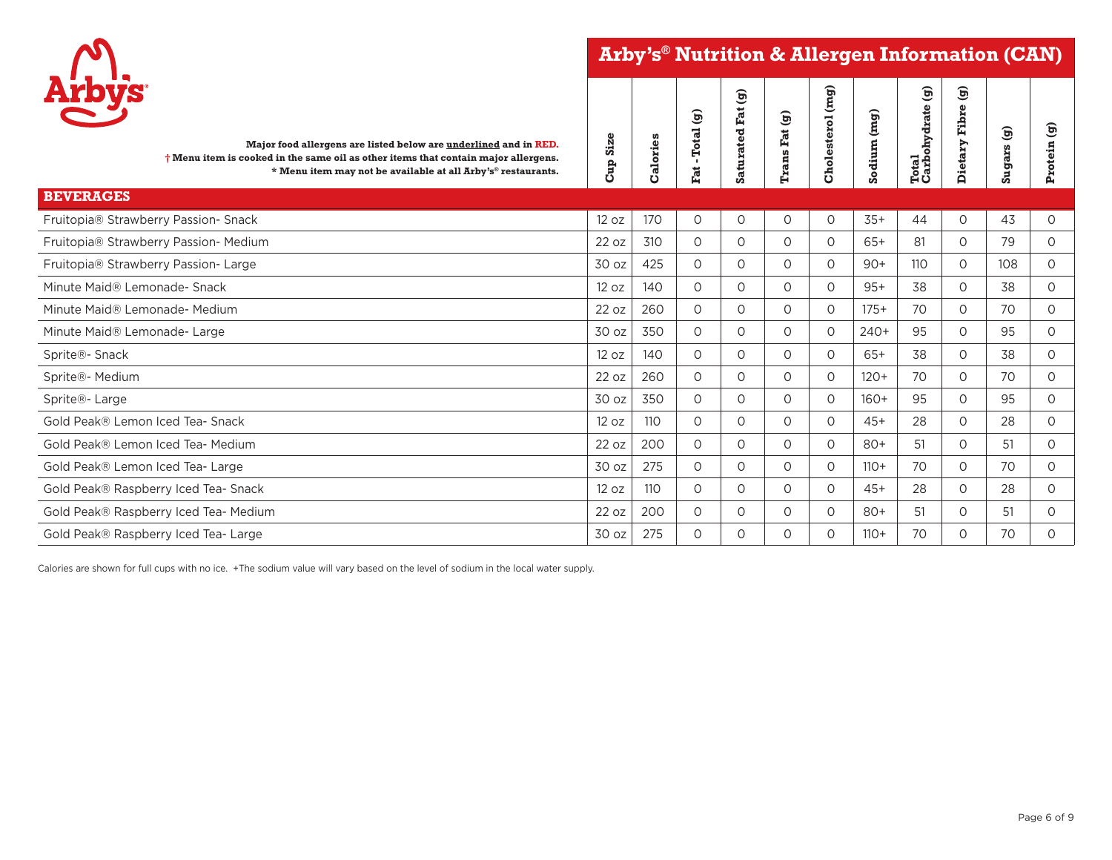**Arby's® Nutrition & Allergen Information (CAN)**



| <b>Arbys</b><br>Major food allergens are listed below are underlined and in RED.<br>$\dagger$ Menu item is cooked in the same oil as other items that contain major allergens.<br>* Menu item may not be available at all Arby's® restaurants. | <b>Size</b><br><b>Cup</b> | Calories | $\widehat{\mathbf{e}}$<br><b>Total</b><br>$\mathbf{r}$<br>Fat. | $\mathbf{\widehat{g}}$<br><b>Saturated Fat</b> | $\mathbf{\widehat{g}}$<br><b>Trans Fat</b> | Cholesterol (mg) | Sodium (mg) | $\mathfrak{S}$<br>Total<br>Carbohydrate | <u>Θ</u><br>ω<br>Fibre<br>Dietary | $\mathbf{\widehat{g}}$<br>Sugars | $\mathfrak{S}$<br>Protein |
|------------------------------------------------------------------------------------------------------------------------------------------------------------------------------------------------------------------------------------------------|---------------------------|----------|----------------------------------------------------------------|------------------------------------------------|--------------------------------------------|------------------|-------------|-----------------------------------------|-----------------------------------|----------------------------------|---------------------------|
| <b>BEVERAGES</b>                                                                                                                                                                                                                               |                           |          |                                                                |                                                |                                            |                  |             |                                         |                                   |                                  |                           |
| Fruitopia® Strawberry Passion- Snack                                                                                                                                                                                                           | 12 oz                     | 170      | 0                                                              | 0                                              | 0                                          | $\circ$          | $35+$       | 44                                      | 0                                 | 43                               | $\circ$                   |
| Fruitopia® Strawberry Passion- Medium                                                                                                                                                                                                          | 22 oz                     | 310      | $\Omega$                                                       | $\circ$                                        | $\circ$                                    | $\circ$          | $65+$       | 81                                      | $\circ$                           | 79                               | $\circ$                   |
| Fruitopia® Strawberry Passion- Large                                                                                                                                                                                                           | 30 oz                     | 425      | 0                                                              | $\circ$                                        | $\circ$                                    | $\circ$          | $90+$       | 110                                     | 0                                 | 108                              | $\circ$                   |
| Minute Maid® Lemonade- Snack                                                                                                                                                                                                                   | 12 oz                     | 140      | $\circ$                                                        | $\circ$                                        | 0                                          | $\circ$          | $95+$       | 38                                      | 0                                 | 38                               | $\circ$                   |
| Minute Maid® Lemonade- Medium                                                                                                                                                                                                                  | 22 oz                     | 260      | $\circ$                                                        | $\circ$                                        | $\circ$                                    | $\circ$          | $175+$      | 70                                      | $\circ$                           | 70                               | $\circ$                   |
| Minute Maid® Lemonade- Large                                                                                                                                                                                                                   | 30 oz                     | 350      | $\circ$                                                        | $\circ$                                        | $\circ$                                    | $\circ$          | $240+$      | 95                                      | 0                                 | 95                               | $\circ$                   |
| Sprite®- Snack                                                                                                                                                                                                                                 | 12 oz                     | 140      | $\circ$                                                        | $\circ$                                        | $\circ$                                    | $\circ$          | 65+         | 38                                      | $\circ$                           | 38                               | $\circ$                   |
| Sprite®- Medium                                                                                                                                                                                                                                | 22 oz                     | 260      | $\circ$                                                        | $\circ$                                        | $\circ$                                    | $\circ$          | $120+$      | 70                                      | $\Omega$                          | 70                               | $\circ$                   |
| Sprite®- Large                                                                                                                                                                                                                                 | 30 oz                     | 350      | $\circ$                                                        | $\circ$                                        | $\circ$                                    | $\circ$          | $160+$      | 95                                      | 0                                 | 95                               | $\circ$                   |
| Gold Peak® Lemon Iced Tea- Snack                                                                                                                                                                                                               | 12 oz                     | 110      | 0                                                              | $\circ$                                        | 0                                          | $\circ$          | $45+$       | 28                                      | 0                                 | 28                               | $\circ$                   |
| Gold Peak® Lemon Iced Tea- Medium                                                                                                                                                                                                              | 22 oz                     | 200      | $\circ$                                                        | $\circ$                                        | $\circ$                                    | $\circ$          | $80+$       | 51                                      | 0                                 | 51                               | $\circ$                   |
| Gold Peak® Lemon Iced Tea- Large                                                                                                                                                                                                               | 30 oz                     | 275      | $\circ$                                                        | $\circ$                                        | $\circ$                                    | $\circ$          | $110+$      | 70                                      | 0                                 | 70                               | $\circ$                   |
| Gold Peak® Raspberry Iced Tea- Snack                                                                                                                                                                                                           | 12 oz                     | 110      | $\circ$                                                        | $\circ$                                        | $\circ$                                    | $\circ$          | $45+$       | 28                                      | 0                                 | 28                               | $\circ$                   |
| Gold Peak® Raspberry Iced Tea- Medium                                                                                                                                                                                                          | 22 oz                     | 200      | $\circ$                                                        | $\Omega$                                       | $\circ$                                    | $\circ$          | $80+$       | 51                                      | 0                                 | 51                               | $\circ$                   |
| Gold Peak® Raspberry Iced Tea-Large                                                                                                                                                                                                            | 30 oz                     | 275      | $\circ$                                                        | $\circ$                                        | $\circ$                                    | 0                | $110+$      | 70                                      | 0                                 | 70                               | $\circ$                   |

Calories are shown for full cups with no ice. +The sodium value will vary based on the level of sodium in the local water supply.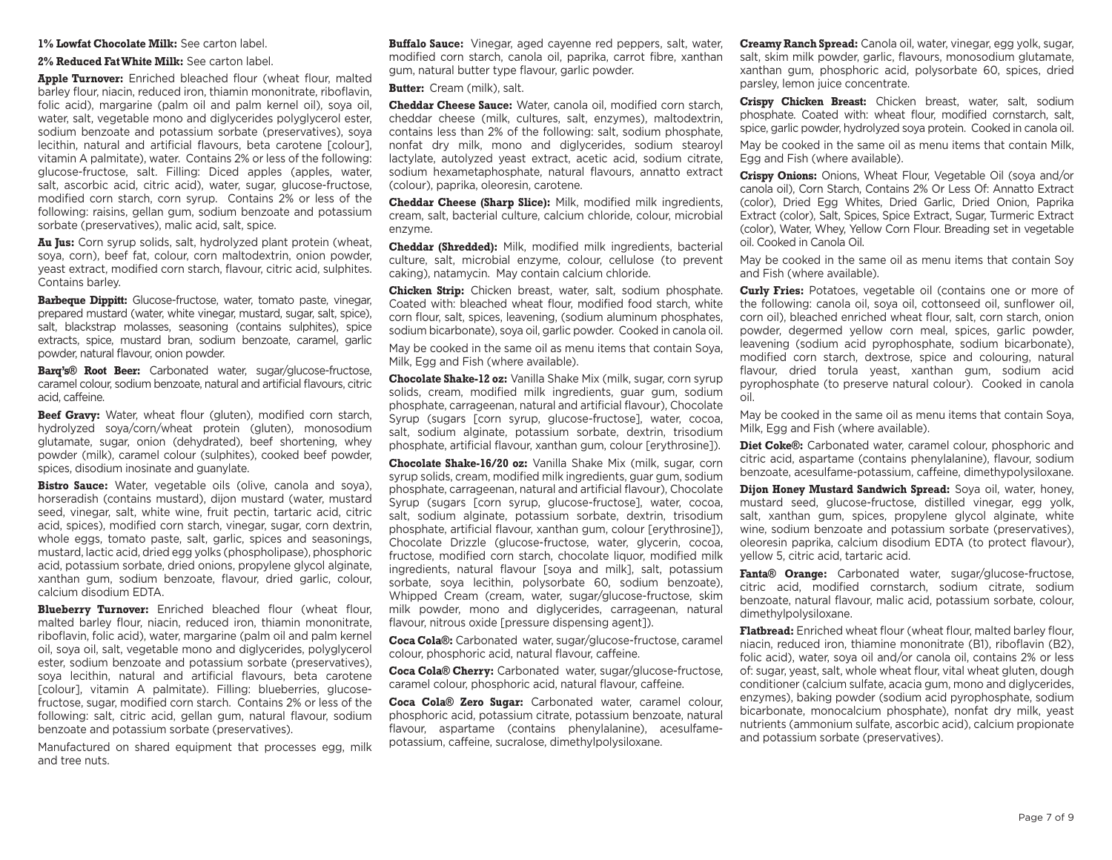## **1% Lowfat Chocolate Milk:** See carton label.

**2% Reduced Fat White Milk:** See carton label.

**Apple Turnover:** Enriched bleached flour (wheat flour, malted barley flour, niacin, reduced iron, thiamin mononitrate, riboflavin, folic acid), margarine (palm oil and palm kernel oil), soya oil, water, salt, vegetable mono and diglycerides polyglycerol ester, sodium benzoate and potassium sorbate (preservatives), soya lecithin, natural and artificial flavours, beta carotene [colour], vitamin A palmitate), water. Contains 2% or less of the following: glucose-fructose, salt. Filling: Diced apples (apples, water, salt, ascorbic acid, citric acid), water, sugar, glucose-fructose, modified corn starch, corn syrup. Contains 2% or less of the following: raisins, gellan gum, sodium benzoate and potassium sorbate (preservatives), malic acid, salt, spice.

**Au Jus:** Corn syrup solids, salt, hydrolyzed plant protein (wheat, soya, corn), beef fat, colour, corn maltodextrin, onion powder, yeast extract, modified corn starch, flavour, citric acid, sulphites. Contains barley.

**Barbeque Dippitt:** Glucose-fructose, water, tomato paste, vinegar, prepared mustard (water, white vinegar, mustard, sugar, salt, spice), salt, blackstrap molasses, seasoning (contains sulphites), spice extracts, spice, mustard bran, sodium benzoate, caramel, garlic powder, natural flavour, onion powder.

**Barq's® Root Beer:** Carbonated water, sugar/glucose-fructose, caramel colour, sodium benzoate, natural and artificial flavours, citric acid, caffeine.

**Beef Gravy:** Water, wheat flour (gluten), modified corn starch, hydrolyzed soya/corn/wheat protein (gluten), monosodium glutamate, sugar, onion (dehydrated), beef shortening, whey powder (milk), caramel colour (sulphites), cooked beef powder, spices, disodium inosinate and guanylate.

**Bistro Sauce:** Water, vegetable oils (olive, canola and soya), horseradish (contains mustard), dijon mustard (water, mustard seed, vinegar, salt, white wine, fruit pectin, tartaric acid, citric acid, spices), modified corn starch, vinegar, sugar, corn dextrin, whole eggs, tomato paste, salt, garlic, spices and seasonings, mustard, lactic acid, dried egg yolks (phospholipase), phosphoric acid, potassium sorbate, dried onions, propylene glycol alginate, xanthan gum, sodium benzoate, flavour, dried garlic, colour, calcium disodium EDTA.

**Blueberry Turnover:** Enriched bleached flour (wheat flour, malted barley flour, niacin, reduced iron, thiamin mononitrate, riboflavin, folic acid), water, margarine (palm oil and palm kernel oil, soya oil, salt, vegetable mono and diglycerides, polyglycerol ester, sodium benzoate and potassium sorbate (preservatives), soya lecithin, natural and artificial flavours, beta carotene [colour], vitamin A palmitate). Filling: blueberries, glucosefructose, sugar, modified corn starch. Contains 2% or less of the following: salt, citric acid, gellan gum, natural flavour, sodium benzoate and potassium sorbate (preservatives).

Manufactured on shared equipment that processes egg, milk and tree nuts.

**Buffalo Sauce:** Vinegar, aged cayenne red peppers, salt, water, modified corn starch, canola oil, paprika, carrot fibre, xanthan gum, natural butter type flavour, garlic powder.

**Butter:** Cream (milk), salt.

**Cheddar Cheese Sauce:** Water, canola oil, modified corn starch, cheddar cheese (milk, cultures, salt, enzymes), maltodextrin, contains less than 2% of the following: salt, sodium phosphate, nonfat dry milk, mono and diglycerides, sodium stearoyl lactylate, autolyzed yeast extract, acetic acid, sodium citrate, sodium hexametaphosphate, natural flavours, annatto extract (colour), paprika, oleoresin, carotene.

**Cheddar Cheese (Sharp Slice):** Milk, modified milk ingredients, cream, salt, bacterial culture, calcium chloride, colour, microbial enzyme.

**Cheddar (Shredded):** Milk, modified milk ingredients, bacterial culture, salt, microbial enzyme, colour, cellulose (to prevent caking), natamycin. May contain calcium chloride.

**Chicken Strip:** Chicken breast, water, salt, sodium phosphate. Coated with: bleached wheat flour, modified food starch, white corn flour, salt, spices, leavening, (sodium aluminum phosphates, sodium bicarbonate), soya oil, garlic powder. Cooked in canola oil.

May be cooked in the same oil as menu items that contain Soya, Milk, Egg and Fish (where available).

**Chocolate Shake-12 oz:** Vanilla Shake Mix (milk, sugar, corn syrup solids, cream, modified milk ingredients, guar gum, sodium phosphate, carrageenan, natural and artificial flavour), Chocolate Syrup (sugars [corn syrup, glucose-fructose], water, cocoa, salt, sodium alginate, potassium sorbate, dextrin, trisodium phosphate, artificial flavour, xanthan gum, colour [erythrosine]).

**Chocolate Shake-16/20 oz:** Vanilla Shake Mix (milk, sugar, corn syrup solids, cream, modified milk ingredients, guar gum, sodium phosphate, carrageenan, natural and artificial flavour), Chocolate Syrup (sugars [corn syrup, glucose-fructose], water, cocoa, salt, sodium alginate, potassium sorbate, dextrin, trisodium phosphate, artificial flavour, xanthan gum, colour [erythrosine]), Chocolate Drizzle (glucose-fructose, water, glycerin, cocoa, fructose, modified corn starch, chocolate liquor, modified milk ingredients, natural flavour [soya and milk], salt, potassium sorbate, soya lecithin, polysorbate 60, sodium benzoate), Whipped Cream (cream, water, sugar/glucose-fructose, skim milk powder, mono and diglycerides, carrageenan, natural flavour, nitrous oxide [pressure dispensing agent]).

**Coca Cola®:** Carbonated water, sugar/glucose-fructose, caramel colour, phosphoric acid, natural flavour, caffeine.

**Coca Cola® Cherry:** Carbonated water, sugar/glucose-fructose, caramel colour, phosphoric acid, natural flavour, caffeine.

**Coca Cola® Zero Sugar:** Carbonated water, caramel colour, phosphoric acid, potassium citrate, potassium benzoate, natural flavour, aspartame (contains phenylalanine), acesulfamepotassium, caffeine, sucralose, dimethylpolysiloxane.

**Creamy Ranch Spread:** Canola oil, water, vinegar, egg yolk, sugar, salt, skim milk powder, garlic, flavours, monosodium glutamate, xanthan gum, phosphoric acid, polysorbate 60, spices, dried parsley, lemon juice concentrate.

**Crispy Chicken Breast:** Chicken breast, water, salt, sodium phosphate. Coated with: wheat flour, modified cornstarch, salt, spice, garlic powder, hydrolyzed soya protein. Cooked in canola oil.

May be cooked in the same oil as menu items that contain Milk, Egg and Fish (where available).

**Crispy Onions:** Onions, Wheat Flour, Vegetable Oil (soya and/or canola oil), Corn Starch, Contains 2% Or Less Of: Annatto Extract (color), Dried Egg Whites, Dried Garlic, Dried Onion, Paprika Extract (color), Salt, Spices, Spice Extract, Sugar, Turmeric Extract (color), Water, Whey, Yellow Corn Flour. Breading set in vegetable oil. Cooked in Canola Oil.

May be cooked in the same oil as menu items that contain Soy and Fish (where available).

**Curly Fries:** Potatoes, vegetable oil (contains one or more of the following: canola oil, soya oil, cottonseed oil, sunflower oil, corn oil), bleached enriched wheat flour, salt, corn starch, onion powder, degermed yellow corn meal, spices, garlic powder, leavening (sodium acid pyrophosphate, sodium bicarbonate), modified corn starch, dextrose, spice and colouring, natural flavour, dried torula yeast, xanthan gum, sodium acid pyrophosphate (to preserve natural colour). Cooked in canola oil.

May be cooked in the same oil as menu items that contain Soya, Milk, Egg and Fish (where available).

**Diet Coke®:** Carbonated water, caramel colour, phosphoric and citric acid, aspartame (contains phenylalanine), flavour, sodium benzoate, acesulfame-potassium, caffeine, dimethypolysiloxane.

**Dijon Honey Mustard Sandwich Spread:** Soya oil, water, honey, mustard seed, glucose-fructose, distilled vinegar, egg yolk, salt, xanthan gum, spices, propylene glycol alginate, white wine, sodium benzoate and potassium sorbate (preservatives), oleoresin paprika, calcium disodium EDTA (to protect flavour), yellow 5, citric acid, tartaric acid.

**Fanta® Orange:** Carbonated water, sugar/glucose-fructose, citric acid, modified cornstarch, sodium citrate, sodium benzoate, natural flavour, malic acid, potassium sorbate, colour, dimethylpolysiloxane.

**Flatbread:** Enriched wheat flour (wheat flour, malted barley flour, niacin, reduced iron, thiamine mononitrate (B1), riboflavin (B2), folic acid), water, soya oil and/or canola oil, contains 2% or less of: sugar, yeast, salt, whole wheat flour, vital wheat gluten, dough conditioner (calcium sulfate, acacia gum, mono and diglycerides, enzymes), baking powder (sodium acid pyrophosphate, sodium bicarbonate, monocalcium phosphate), nonfat dry milk, yeast nutrients (ammonium sulfate, ascorbic acid), calcium propionate and potassium sorbate (preservatives).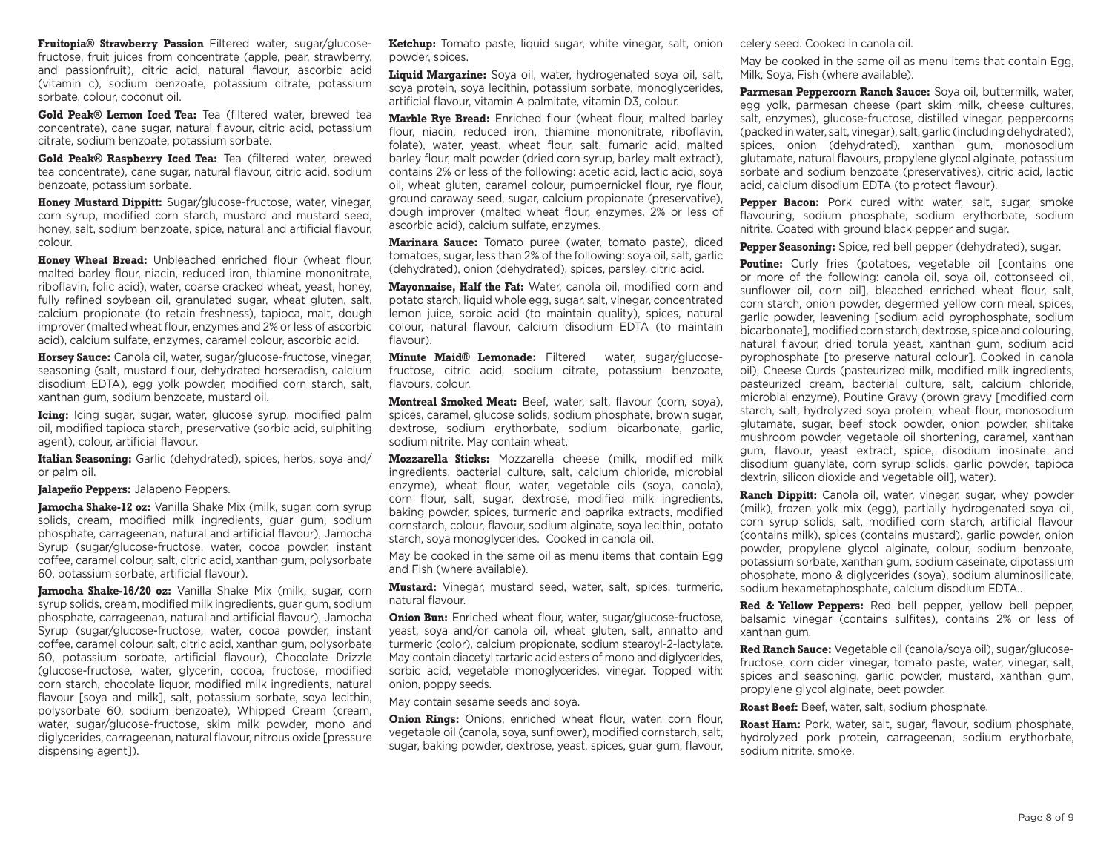**Fruitopia® Strawberry Passion** Filtered water, sugar/glucosefructose, fruit juices from concentrate (apple, pear, strawberry, and passionfruit), citric acid, natural flavour, ascorbic acid (vitamin c), sodium benzoate, potassium citrate, potassium sorbate, colour, coconut oil.

**Gold Peak® Lemon Iced Tea:** Tea (filtered water, brewed tea concentrate), cane sugar, natural flavour, citric acid, potassium citrate, sodium benzoate, potassium sorbate.

**Gold Peak® Raspberry Iced Tea:** Tea (filtered water, brewed tea concentrate), cane sugar, natural flavour, citric acid, sodium benzoate, potassium sorbate.

**Honey Mustard Dippitt:** Sugar/glucose-fructose, water, vinegar, corn syrup, modified corn starch, mustard and mustard seed, honey, salt, sodium benzoate, spice, natural and artificial flavour, colour.

**Honey Wheat Bread:** Unbleached enriched flour (wheat flour, malted barley flour, niacin, reduced iron, thiamine mononitrate, riboflavin, folic acid), water, coarse cracked wheat, yeast, honey, fully refined soybean oil, granulated sugar, wheat gluten, salt, calcium propionate (to retain freshness), tapioca, malt, dough improver (malted wheat flour, enzymes and 2% or less of ascorbic acid), calcium sulfate, enzymes, caramel colour, ascorbic acid.

**Horsey Sauce:** Canola oil, water, sugar/glucose-fructose, vinegar, seasoning (salt, mustard flour, dehydrated horseradish, calcium disodium EDTA), egg yolk powder, modified corn starch, salt, xanthan gum, sodium benzoate, mustard oil.

**Icing:** Icing sugar, sugar, water, glucose syrup, modified palm oil, modified tapioca starch, preservative (sorbic acid, sulphiting agent), colour, artificial flavour.

**Italian Seasoning:** Garlic (dehydrated), spices, herbs, soya and/ or palm oil.

## **Jalapeño Peppers:** Jalapeno Peppers.

**Jamocha Shake-12 oz:** Vanilla Shake Mix (milk, sugar, corn syrup) solids, cream, modified milk ingredients, guar gum, sodium phosphate, carrageenan, natural and artificial flavour), Jamocha Syrup (sugar/glucose-fructose, water, cocoa powder, instant coffee, caramel colour, salt, citric acid, xanthan gum, polysorbate 60, potassium sorbate, artificial flavour).

**Jamocha Shake-16/20 oz:** Vanilla Shake Mix (milk, sugar, corn syrup solids, cream, modified milk ingredients, guar gum, sodium phosphate, carrageenan, natural and artificial flavour), Jamocha Syrup (sugar/glucose-fructose, water, cocoa powder, instant coffee, caramel colour, salt, citric acid, xanthan gum, polysorbate 60, potassium sorbate, artificial flavour), Chocolate Drizzle (glucose-fructose, water, glycerin, cocoa, fructose, modified corn starch, chocolate liquor, modified milk ingredients, natural flavour [soya and milk], salt, potassium sorbate, soya lecithin, polysorbate 60, sodium benzoate), Whipped Cream (cream, water, sugar/glucose-fructose, skim milk powder, mono and diglycerides, carrageenan, natural flavour, nitrous oxide [pressure dispensing agent]).

**Ketchup:** Tomato paste, liquid sugar, white vinegar, salt, onion powder, spices.

**Liquid Margarine:** Soya oil, water, hydrogenated soya oil, salt, soya protein, soya lecithin, potassium sorbate, monoglycerides, artificial flavour, vitamin A palmitate, vitamin D3, colour.

**Marble Rye Bread:** Enriched flour (wheat flour, malted barley flour, niacin, reduced iron, thiamine mononitrate, riboflavin, folate), water, yeast, wheat flour, salt, fumaric acid, malted barley flour, malt powder (dried corn syrup, barley malt extract), contains 2% or less of the following: acetic acid, lactic acid, soya oil, wheat gluten, caramel colour, pumpernickel flour, rye flour, ground caraway seed, sugar, calcium propionate (preservative), dough improver (malted wheat flour, enzymes, 2% or less of ascorbic acid), calcium sulfate, enzymes.

**Marinara Sauce:** Tomato puree (water, tomato paste), diced tomatoes, sugar, less than 2% of the following: soya oil, salt, garlic (dehydrated), onion (dehydrated), spices, parsley, citric acid.

**Mayonnaise, Half the Fat:** Water, canola oil, modified corn and potato starch, liquid whole egg, sugar, salt, vinegar, concentrated lemon juice, sorbic acid (to maintain quality), spices, natural colour, natural flavour, calcium disodium EDTA (to maintain flavour).

**Minute Maid® Lemonade:** Filtered water, sugar/glucosefructose, citric acid, sodium citrate, potassium benzoate, flavours, colour.

**Montreal Smoked Meat:** Beef, water, salt, flavour (corn, soya), spices, caramel, glucose solids, sodium phosphate, brown sugar, dextrose, sodium erythorbate, sodium bicarbonate, garlic, sodium nitrite. May contain wheat.

**Mozzarella Sticks:** Mozzarella cheese (milk, modified milk ingredients, bacterial culture, salt, calcium chloride, microbial enzyme), wheat flour, water, vegetable oils (soya, canola), corn flour, salt, sugar, dextrose, modified milk ingredients, baking powder, spices, turmeric and paprika extracts, modified cornstarch, colour, flavour, sodium alginate, soya lecithin, potato starch, soya monoglycerides. Cooked in canola oil.

May be cooked in the same oil as menu items that contain Egg and Fish (where available).

**Mustard:** Vinegar, mustard seed, water, salt, spices, turmeric, natural flavour.

**Onion Bun:** Enriched wheat flour, water, sugar/glucose-fructose, yeast, soya and/or canola oil, wheat gluten, salt, annatto and turmeric (color), calcium propionate, sodium stearoyl-2-lactylate. May contain diacetyl tartaric acid esters of mono and diglycerides, sorbic acid, vegetable monoglycerides, vinegar. Topped with: onion, poppy seeds.

May contain sesame seeds and soya.

**Onion Rings:** Onions, enriched wheat flour, water, corn flour, vegetable oil (canola, soya, sunflower), modified cornstarch, salt, sugar, baking powder, dextrose, yeast, spices, guar gum, flavour, celery seed. Cooked in canola oil.

May be cooked in the same oil as menu items that contain Egg, Milk, Soya, Fish (where available).

**Parmesan Peppercorn Ranch Sauce:** Soya oil, buttermilk, water, egg yolk, parmesan cheese (part skim milk, cheese cultures, salt, enzymes), glucose-fructose, distilled vinegar, peppercorns (packed in water, salt, vinegar), salt, garlic (including dehydrated), spices, onion (dehydrated), xanthan gum, monosodium glutamate, natural flavours, propylene glycol alginate, potassium sorbate and sodium benzoate (preservatives), citric acid, lactic acid, calcium disodium EDTA (to protect flavour).

Pepper Bacon: Pork cured with: water, salt, sugar, smoke flavouring, sodium phosphate, sodium erythorbate, sodium nitrite. Coated with ground black pepper and sugar.

**Pepper Seasoning:** Spice, red bell pepper (dehydrated), sugar.

**Poutine:** Curly fries (potatoes, vegetable oil [contains one or more of the following: canola oil, soya oil, cottonseed oil, sunflower oil, corn oil<sub>1</sub>, bleached enriched wheat flour, salt, corn starch, onion powder, degermed yellow corn meal, spices, garlic powder, leavening [sodium acid pyrophosphate, sodium bicarbonate], modified corn starch, dextrose, spice and colouring, natural flavour, dried torula yeast, xanthan gum, sodium acid pyrophosphate [to preserve natural colour]. Cooked in canola oil), Cheese Curds (pasteurized milk, modified milk ingredients, pasteurized cream, bacterial culture, salt, calcium chloride, microbial enzyme), Poutine Gravy (brown gravy [modified corn starch, salt, hydrolyzed soya protein, wheat flour, monosodium glutamate, sugar, beef stock powder, onion powder, shiitake mushroom powder, vegetable oil shortening, caramel, xanthan gum, flavour, yeast extract, spice, disodium inosinate and disodium guanylate, corn syrup solids, garlic powder, tapioca dextrin, silicon dioxide and vegetable oil], water).

**Ranch Dippitt:** Canola oil, water, vinegar, sugar, whey powder (milk), frozen yolk mix (egg), partially hydrogenated soya oil, corn syrup solids, salt, modified corn starch, artificial flavour (contains milk), spices (contains mustard), garlic powder, onion powder, propylene glycol alginate, colour, sodium benzoate, potassium sorbate, xanthan gum, sodium caseinate, dipotassium phosphate, mono & diglycerides (soya), sodium aluminosilicate, sodium hexametaphosphate, calcium disodium EDTA..

**Red & Yellow Peppers:** Red bell pepper, yellow bell pepper, balsamic vinegar (contains sulfites), contains 2% or less of xanthan gum.

**Red Ranch Sauce:** Vegetable oil (canola/soya oil), sugar/glucosefructose, corn cider vinegar, tomato paste, water, vinegar, salt, spices and seasoning, garlic powder, mustard, xanthan gum, propylene glycol alginate, beet powder.

**Roast Beef:** Beef, water, salt, sodium phosphate.

**Roast Ham:** Pork, water, salt, sugar, flavour, sodium phosphate, hydrolyzed pork protein, carrageenan, sodium erythorbate, sodium nitrite, smoke.